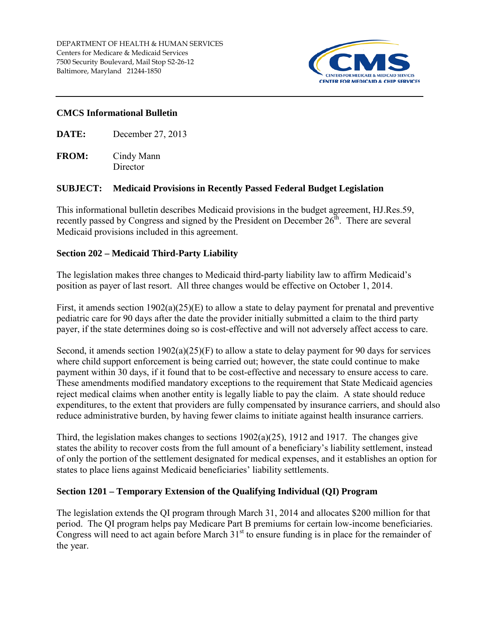

## **CMCS Informational Bulletin**

**DATE:** December 27, 2013

**FROM:** Cindy Mann **Director** 

### **SUBJECT: Medicaid Provisions in Recently Passed Federal Budget Legislation**

This informational bulletin describes Medicaid provisions in the budget agreement, HJ.Res.59, recently passed by Congress and signed by the President on December 26<sup>th</sup>. There are several Medicaid provisions included in this agreement.

# **Section 202 – Medicaid Third-Party Liability**

The legislation makes three changes to Medicaid third-party liability law to affirm Medicaid's position as payer of last resort. All three changes would be effective on October 1, 2014.

First, it amends section 1902(a)(25)(E) to allow a state to delay payment for prenatal and preventive pediatric care for 90 days after the date the provider initially submitted a claim to the third party payer, if the state determines doing so is cost-effective and will not adversely affect access to care.

Second, it amends section 1902(a)(25)(F) to allow a state to delay payment for 90 days for services where child support enforcement is being carried out; however, the state could continue to make payment within 30 days, if it found that to be cost-effective and necessary to ensure access to care. These amendments modified mandatory exceptions to the requirement that State Medicaid agencies reject medical claims when another entity is legally liable to pay the claim. A state should reduce expenditures, to the extent that providers are fully compensated by insurance carriers, and should also reduce administrative burden, by having fewer claims to initiate against health insurance carriers.

Third, the legislation makes changes to sections  $1902(a)(25)$ , 1912 and 1917. The changes give states the ability to recover costs from the full amount of a beneficiary's liability settlement, instead of only the portion of the settlement designated for medical expenses, and it establishes an option for states to place liens against Medicaid beneficiaries' liability settlements.

### **Section 1201 – Temporary Extension of the Qualifying Individual (QI) Program**

The legislation extends the QI program through March 31, 2014 and allocates \$200 million for that period. The QI program helps pay Medicare Part B premiums for certain low-income beneficiaries. Congress will need to act again before March  $31<sup>st</sup>$  to ensure funding is in place for the remainder of the year.